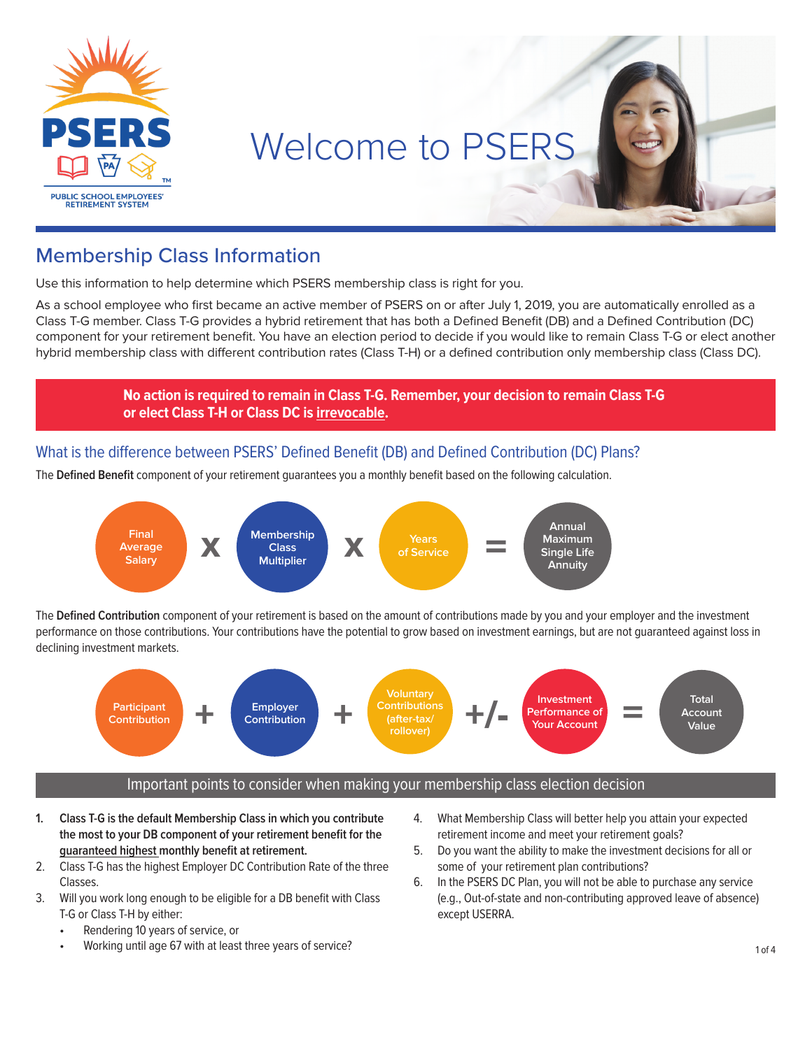

# Welcome to PSERS

### Membership Class Information

Use this information to help determine which PSERS membership class is right for you.

As a school employee who first became an active member of PSERS on or after July 1, 2019, you are automatically enrolled as a Class T-G member. Class T-G provides a hybrid retirement that has both a Defined Benefit (DB) and a Defined Contribution (DC) component for your retirement benefit. You have an election period to decide if you would like to remain Class T-G or elect another hybrid membership class with different contribution rates (Class T-H) or a defined contribution only membership class (Class DC).

> **No action is required to remain in Class T-G. Remember, your decision to remain Class T-G or elect Class T-H or Class DC is irrevocable.**

#### What is the difference between PSERS' Defined Benefit (DB) and Defined Contribution (DC) Plans?

The **Defined Benefit** component of your retirement guarantees you a monthly benefit based on the following calculation.



The **Defined Contribution** component of your retirement is based on the amount of contributions made by you and your employer and the investment performance on those contributions. Your contributions have the potential to grow based on investment earnings, but are not guaranteed against loss in declining investment markets.



#### Important points to consider when making your membership class election decision

- **1. Class T-G is the default Membership Class in which you contribute the most to your DB component of your retirement benefit for the guaranteed highest monthly benefit at retirement.**
- 2. Class T-G has the highest Employer DC Contribution Rate of the three Classes.
- 3. Will you work long enough to be eligible for a DB benefit with Class T-G or Class T-H by either:
	- Rendering 10 years of service, or
	- Working until age 67 with at least three years of service?
- 4. What Membership Class will better help you attain your expected retirement income and meet your retirement goals?
- 5. Do you want the ability to make the investment decisions for all or some of your retirement plan contributions?
- 6. In the PSERS DC Plan, you will not be able to purchase any service (e.g., Out-of-state and non-contributing approved leave of absence) except USERRA.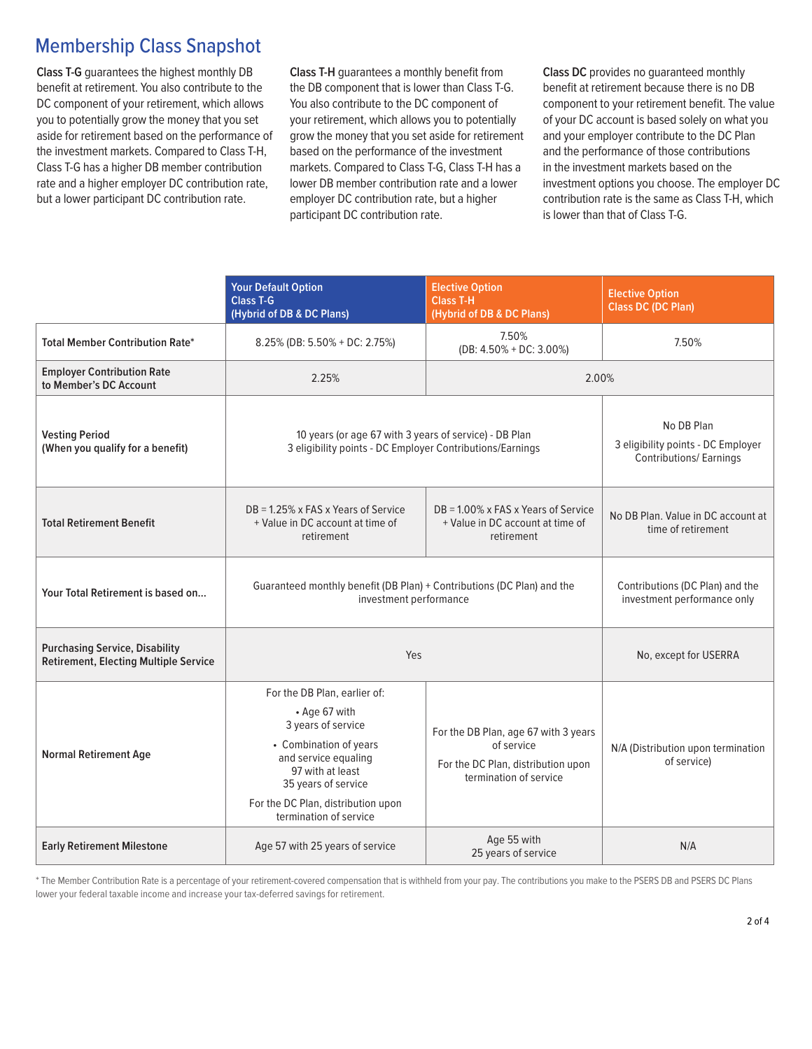#### Membership Class Snapshot

**Class T-G** guarantees the highest monthly DB benefit at retirement. You also contribute to the DC component of your retirement, which allows you to potentially grow the money that you set aside for retirement based on the performance of the investment markets. Compared to Class T-H, Class T-G has a higher DB member contribution rate and a higher employer DC contribution rate, but a lower participant DC contribution rate.

**Class T-H** guarantees a monthly benefit from the DB component that is lower than Class T-G. You also contribute to the DC component of your retirement, which allows you to potentially grow the money that you set aside for retirement based on the performance of the investment markets. Compared to Class T-G, Class T-H has a lower DB member contribution rate and a lower employer DC contribution rate, but a higher participant DC contribution rate.

**Class DC** provides no guaranteed monthly benefit at retirement because there is no DB component to your retirement benefit. The value of your DC account is based solely on what you and your employer contribute to the DC Plan and the performance of those contributions in the investment markets based on the investment options you choose. The employer DC contribution rate is the same as Class T-H, which is lower than that of Class T-G.

|                                                                                       | <b>Your Default Option</b><br><b>Class T-G</b><br>(Hybrid of DB & DC Plans)                                                                                                                                                      | <b>Elective Option</b><br><b>Class T-H</b><br>(Hybrid of DB & DC Plans)                                            | <b>Elective Option</b><br><b>Class DC (DC Plan)</b>                               |
|---------------------------------------------------------------------------------------|----------------------------------------------------------------------------------------------------------------------------------------------------------------------------------------------------------------------------------|--------------------------------------------------------------------------------------------------------------------|-----------------------------------------------------------------------------------|
| <b>Total Member Contribution Rate*</b>                                                | 8.25% (DB: 5.50% + DC: 2.75%)                                                                                                                                                                                                    | 7.50%<br>(DB: $4.50\% + DC$ : 3.00%)                                                                               | 7.50%                                                                             |
| <b>Employer Contribution Rate</b><br>to Member's DC Account                           | 2.25%<br>2.00%                                                                                                                                                                                                                   |                                                                                                                    |                                                                                   |
| <b>Vesting Period</b><br>(When you qualify for a benefit)                             | 10 years (or age 67 with 3 years of service) - DB Plan<br>3 eligibility points - DC Employer Contributions/Earnings                                                                                                              |                                                                                                                    | No DB Plan<br>3 eligibility points - DC Employer<br><b>Contributions/Earnings</b> |
| <b>Total Retirement Benefit</b>                                                       | DB = 1.25% x FAS x Years of Service<br>DB = 1.00% x FAS x Years of Service<br>+ Value in DC account at time of<br>+ Value in DC account at time of<br>retirement<br>retirement                                                   |                                                                                                                    | No DB Plan. Value in DC account at<br>time of retirement                          |
| Your Total Retirement is based on                                                     | Guaranteed monthly benefit (DB Plan) + Contributions (DC Plan) and the<br>investment performance                                                                                                                                 |                                                                                                                    | Contributions (DC Plan) and the<br>investment performance only                    |
| <b>Purchasing Service, Disability</b><br><b>Retirement, Electing Multiple Service</b> | Yes                                                                                                                                                                                                                              |                                                                                                                    | No, except for USERRA                                                             |
| <b>Normal Retirement Age</b>                                                          | For the DB Plan, earlier of:<br>• Age 67 with<br>3 years of service<br>• Combination of years<br>and service equaling<br>97 with at least<br>35 years of service<br>For the DC Plan, distribution upon<br>termination of service | For the DB Plan, age 67 with 3 years<br>of service<br>For the DC Plan, distribution upon<br>termination of service | N/A (Distribution upon termination<br>of service)                                 |
| <b>Early Retirement Milestone</b>                                                     | Age 57 with 25 years of service                                                                                                                                                                                                  | Age 55 with<br>25 years of service                                                                                 | N/A                                                                               |

\* The Member Contribution Rate is a percentage of your retirement-covered compensation that is withheld from your pay. The contributions you make to the PSERS DB and PSERS DC Plans lower your federal taxable income and increase your tax-deferred savings for retirement.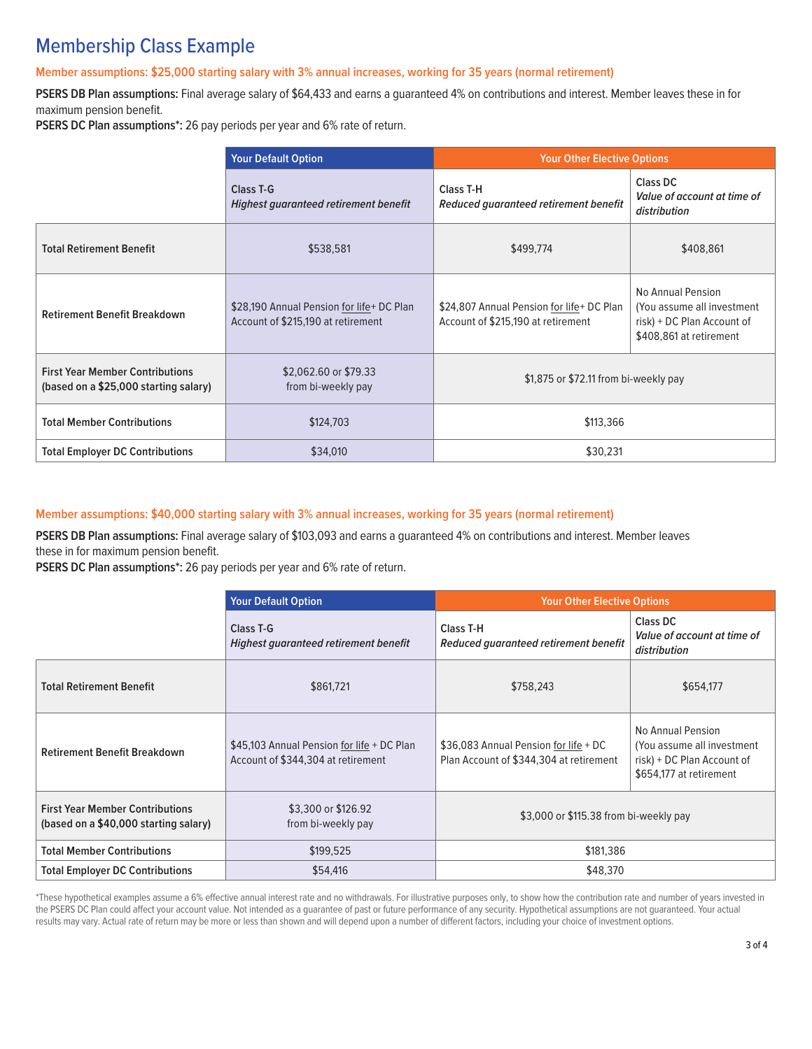## Membership Class Example

#### **Member assumptions: \$25,000 starting salary with 3% annual increases, working for 35 years (normal retirement)**

**PSERS DB Plan assumptions:** Final average salary of \$64,433 and earns a guaranteed 4% on contributions and interest. Member leaves these in for maximum pension benefit.

**PSERS DC Plan assumptions\*:** 26 pay periods per year and 6% rate of return.

|                                                                                 | <b>Your Default Option</b>                                                      | <b>Your Other Elective Options</b>                                              |                                                                                                          |
|---------------------------------------------------------------------------------|---------------------------------------------------------------------------------|---------------------------------------------------------------------------------|----------------------------------------------------------------------------------------------------------|
|                                                                                 | <b>Class T-G</b><br><b>Highest guaranteed retirement benefit</b>                | <b>Class T-H</b><br>Reduced guaranteed retirement benefit                       | <b>Class DC</b><br>Value of account at time of<br>distribution                                           |
| <b>Total Retirement Benefit</b>                                                 | \$538,581                                                                       | \$499,774                                                                       | \$408,861                                                                                                |
| <b>Retirement Benefit Breakdown</b>                                             | \$28,190 Annual Pension for life+ DC Plan<br>Account of \$215,190 at retirement | \$24,807 Annual Pension for life+ DC Plan<br>Account of \$215,190 at retirement | No Annual Pension<br>(You assume all investment<br>risk) + DC Plan Account of<br>\$408,861 at retirement |
| <b>First Year Member Contributions</b><br>(based on a \$25,000 starting salary) | \$2,062.60 or \$79.33<br>from bi-weekly pay                                     | \$1,875 or \$72.11 from bi-weekly pay                                           |                                                                                                          |
| <b>Total Member Contributions</b>                                               | \$124,703                                                                       | \$113,366                                                                       |                                                                                                          |
| <b>Total Employer DC Contributions</b>                                          | \$34,010                                                                        | \$30,231                                                                        |                                                                                                          |

#### **Member assumptions: \$40,000 starting salary with 3% annual increases, working for 35 years (normal retirement)**

**PSERS DB Plan assumptions:** Final average salary of \$103,093 and earns a guaranteed 4% on contributions and interest. Member leaves these in for maximum pension benefit.

**PSERS DC Plan assumptions\*:** 26 pay periods per year and 6% rate of return.

|                                                                                 | <b>Your Default Option</b>                                                       | <b>Your Other Elective Options</b>                                               |                                                                                                          |
|---------------------------------------------------------------------------------|----------------------------------------------------------------------------------|----------------------------------------------------------------------------------|----------------------------------------------------------------------------------------------------------|
|                                                                                 | <b>Class T-G</b><br>Highest guaranteed retirement benefit                        | Class T-H<br>Reduced guaranteed retirement benefit                               | <b>Class DC</b><br>Value of account at time of<br>distribution                                           |
| <b>Total Retirement Benefit</b>                                                 | \$861,721                                                                        | \$758,243                                                                        | \$654,177                                                                                                |
| <b>Retirement Benefit Breakdown</b>                                             | \$45,103 Annual Pension for life + DC Plan<br>Account of \$344,304 at retirement | \$36,083 Annual Pension for life + DC<br>Plan Account of \$344,304 at retirement | No Annual Pension<br>(You assume all investment<br>risk) + DC Plan Account of<br>\$654,177 at retirement |
| <b>First Year Member Contributions</b><br>(based on a \$40,000 starting salary) | \$3,300 or \$126.92<br>from bi-weekly pay                                        | \$3,000 or \$115.38 from bi-weekly pay                                           |                                                                                                          |
| <b>Total Member Contributions</b>                                               | \$199,525                                                                        | \$181,386                                                                        |                                                                                                          |
| <b>Total Employer DC Contributions</b>                                          | \$54,416                                                                         | \$48,370                                                                         |                                                                                                          |

\*These hypothetical examples assume a 6% effective annual interest rate and no withdrawals. For illustrative purposes only, to show how the contribution rate and number of years invested in the PSERS DC Plan could affect your account value. Not intended as a guarantee of past or future performance of any security. Hypothetical assumptions are not guaranteed. Your actual results may vary. Actual rate of return may be more or less than shown and will depend upon a number of different factors, including your choice of investment options.